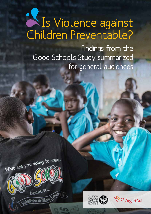# Is Violence against Children Preventable?

Findings from the Good Schools Study summarized for general audiences





Raising Voices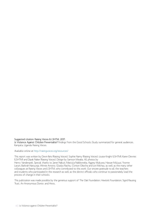Suggested citation: Raising Voices & LSHTM. 2017.

Is Violence Against Children Preventable? Findings from the Good Schools Study summarized for general audiences. Kampala, Uganda: Raising Voices.

#### Available online at http://raisingvoices.org/resources/

This report was written by Devin Faris (Raising Voices), Sophie Namy (Raising Voices), Louise Knight (LSHTM), Karen Devries (LSHTM) and Dipak Naker (Raising Voices). Design by Samson Mwaka. All photos by Henry Vanderspek. Special thanks to Janet Nakuti, Mastula Nakiboneka, Aggrey Mukuwa, Hassan Muluusi, Yvonne Laruni, Barbrah Nanyunja, Winnie Amono, Gladys Rachiu, Clinton Okecha and Lori Michau, as well as the many other colleagues at Raising Voices and LSHTM, who contributed to this work. Our sincere gratitude to all the teachers and students who participated in the research as well as the district officials who continue to passionately lead the process of change in their schools.

This publication was made possible by the generous support of The Oak Foundation, Hewlett Foundation, Sigrid Rausing Trust, An Anonymous Donor, and Hivos.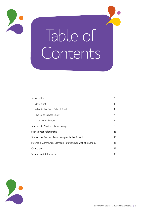

# Table of Contents

| Introduction                                              | $\mathcal{L}$ |
|-----------------------------------------------------------|---------------|
| Background                                                | 2             |
| What is the Good School Toolkit                           | 4             |
| The Good School Study                                     | 7             |
| Overview of Report                                        | 10            |
| Teachers-to-Students Relationship                         | 11            |
| Peer-to-Peer Relationship                                 | 25            |
| Students & Teachers Relationship with the School          | 30            |
| Parents & Community Members Relationships with the School | 36            |
| Conclusion                                                | 42            |
| Sources and References                                    | 43            |



Is Violence against Children Preventable? | 1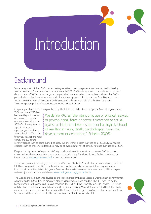# Introduction

# Background

Violence against children (VAC) carries lasting negative impacts on physical and mental health, leading to increased risk of low educational attainment (UNICEF 2006). While current, nationally representative data on rates of VAC in Uganda is yet to be published, our research in Luwero district shows that VACparticularly in schools—is widespread and affects the majority of children. Across East African schools, VAC is a common way of disciplining and intimidating children, with half of children in Kenya and Tanzania reporting cases of school violence (UNICEF 2011, 2012).

Corporal punishment has been prohibited by the Ministry of Education and Sports (MoES) in Uganda since

1997, and since 2016, has become illegal. However, our research in study schools shows that over 90% of children primarily aged 11-14 years still report physical violence from school staff in their lifetimes, 88% report being caned, and 8% report

 $\,$  We define VAC as "the intentional use of physical, sexual,  $\,$ or psychological force or power, threatened or actual, against a child that either results in or has high likelihood of resulting in injury, death, psychological harm, maldevelopment or deprivation." (Pinheiro, 2006)

severe violence such as being burned, choked, cut or severely beaten (Devries et al. 2013b). Marginalized children, such as those with disabilities, may be at even greater risk of school violence (Devries et al. 2014).

Despite the high levels of reported VAC, rigorously evaluated interventions to prevent VAC in schools in low and middle-income settings have been severely lacking. The Good School Toolkit, developed by Raising Voices (www.raisingvoices.org), is one such intervention.

This report summarizes findings from the Good Schools Study (GSS), a cluster randomized controlled trial (RCT) assessing an intervention (The Good School Toolkit) aimed at reducing violence against children in schools in a central district in Uganda. Most of the results presented here have been published in peer reviewed journals, and are available at www.raisingvoices.org/good-school/.

The Good School Toolkit was developed and implemented by Raising Voices, a Ugandan non-governmental organization (NGO) working to prevent violence against women and children. The RCT was led by the London School of Hygiene and Tropical Medicine (LSHTM) and the University College London — Institute of Education in collaboration with Makerere University and Raising Voices (Devries et al. 2015a). The study compares two groups: schools that received the Good School programming (intervention schools or Good Schools) and those where the Toolkit was not implemented (control schools).

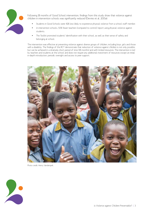

Following 18 months of Good School intervention, findings from this study show that violence against children in intervention schools was significantly reduced (Devries et al. 2015a):

- Students in Good Schools were 42% less likely to experience physical violence from a school staff member.
- In intervention schools, 50% fewer teachers (compared to control) report using physical violence against students.
- The Toolkit promoted students' identification with their school, as well as their sense of safety and belonging at school.

The intervention was effective at preventing violence against diverse groups of children, including boys, girls and those with a disability. The findings of this RCT demonstrate that reduction of violence against children is not only possible, but can be achieved in a relatively short period of time (18 months) and with limited resources. The intervention is led by teachers and students at the school and does not require any additional investment of resources except an initial in-depth introduction, periodic oversight and access to peer support.



Photo credit: Henry Vanderspek.

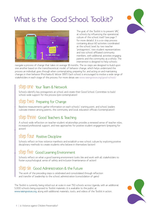# What is the Good School Toolkit?



The goal of the Toolkit is to prevent VAC at schools by influencing the operational culture of the school itself (see page 7 for more details). It is a six-step process containing about 60 activities coordinated at the school level by two teacher 'protagonists', two student representatives and two school-affiliated community members, with additional activities engaging parents and the community as a whole. The intervention is designed to help schools

navigate a process of change that takes on average 18 months. The six steps are designed to build upon one another based on the transtheoretical model of behavior change, which helps understand the process an individual goes through when contemplating, preparing for, and acting on and maintaining changes in their behavior (Prochaska & Velicer 1997). Each school is encouraged to involve a wide range of stakeholders in each stage of this process. For more detais see www.raisingvoices.org/good-school/

### Step One: Your Team & Network

Schools identify key protagonists at school and create their Good School Committee to build school-wide support for the process (pre-contemplation)

### step two Preparing for Change

Baseline measurements gather information on each schools' starting point, and school leaders cultivate interest among parents, the community and local education officials (contemplation)

## step three Good Teachers & Teaching

A school-wide reflection on teacher-student relationships provides a renewed sense of teacher roles, increased professional support, and new approaches for positive student engagement (preparing for action)

### Step Four: Positive Discipline

Schools reflect on how violence manifests and establish a new school culture by exploring positive disciplinary methods to create students who believe in themselves (action)

## step five Good Learning Environment

Schools reflect on what a good learning environment looks like and work with all stakeholders to foster a psychological sense of safety and inclusion (maintenance of action)

## Step Six: Good Administration & the Future

The work of the preceding steps is celebrated and consolidated through reflection and transfer of leadership to the school administration (consolidation of gains)

The Toolkit is currently being rolled out at scale in over 750 schools across Uganda, with an additional 5,000 schools being exposed to Toolkit materials. It is available to the public at www.raisingvoices.org, along with additional materials, tools, and videos of the Toolkit in action.



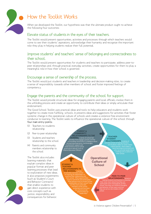

## How the Toolkit Works

When we developed the Toolkit, our hypothesis was that the ultimate product ought to achieve the following four outcomes:

#### Elevate status of students in the eyes of their teachers.

The Toolkit would present opportunities, activities and processes through which teachers would come to see their students' aspirations, acknowledge their humanity and recognize the important role they play in helping students realize their full potential.

#### Improve students' and teachers' sense of belonging and connectedness to their school.

The Toolkit would present opportunities for students and teachers to participate, address peer-topeer relationships and, through practical everyday activities, create opportunities for them to play a meaningful role in how their school is governed.

#### Encourage a sense of ownership of the process.

The Toolkit would put students and teachers in leadership and decision-making roles, to create a sense of responsibility towards other members of school and foster improved feelings of competency.

#### Engage the parents and the community of the school for support.

The Toolkit would provide structural ideas for engaging parents and local officials, involve them in the unfolding process and create an opportunity to contribute their ideas or simply articulate their endorsement.

The Good School Toolkit uses practical ideas and tools to help educators and students work The Good School Toolkit uses practical ideas and tools to help educators and students work<br>together to create more fulfilling schools. It presents ideas and suggestions for activities that foster regenter to create more rathering senoots. It presents ideas and saggestions for detivities that is conducive to learning. The Toolkit seeks to influence the operational culture of the school through four main entry-points:

- (1) Teachers to students relationship
- (2) Peer-to-peer relationship
- (3) Students and teachers relationship to the school
- (4) Parents and community members relationship to the school

The Toolkit also includes learning materials that explain complex ideas in popular format and peer learning processes that lead to exploration of new ideas. It also proposes experiments (such as Student's Court and Behavior Contracts) that enable students to gain direct experience with core concepts such as justice, responsibility and consequences for behavior.

**TEACHER-STUDENT RELATIONSHIPS:** activities aimed at helping teachers who can provide leadership in **PEER-TO-PEER RELATIONSHIPS: aim** helping students and teachers to develop their voice, learn about how they can participate more meaningfully at their school, how they can influence thoughts and behavior of their peers and how they can act as role models at their school. **STUDENT & TEACHER RELATIONSHIPS TO THE SCHOOL:** a series of activities and ideas aimed at inspiring all stakeholders to examine their relationship with their school. What opportunities exist to contribute and participate? What policies exist to protect all the stakeholders at their school? How are the most vulnerable members of the school protected and how does the school provide opportunities for leadership? **PARENT & COMMUNITY RELATIONSHIPS TO THE SCHOOL:** a series of school-led activities that engages parents and the ctivities that engages parents and the<br>rounding community in a dialogue about the learning experience, and leverages involvement, support and endorsement of local school governance officials such as District Education Officers. **Operational Culture of School**

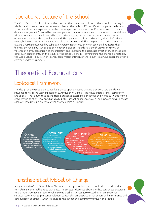## Operational Culture of the School

The Good School Toolkit builds on the idea that the operational culture of the school  $-$  the way in which stakeholders experience, behave and feel at their school (Cohen 2006) — impacts the level of violence children are experiencing in their learning environments. A school's operational culture is a delicate ecosystem influenced by teachers, parents, community members, students and other children, all of whom are directly influenced by each other's respective histories and the socio-economic environment in which the school is situated. The operational culture is shaped by the beliefs, shared values, behaviors, norms and experiences of all actors involved. The interpretation of the operational culture is further influenced by subjective characteristics through which each child navigates their learning environment, such as age, sex, cognitive capacity, health, nutritional status or history of violence at home. Recognition of the interplay, and leveraging the aggregate effect of all of these, and other such components, on the reality of the school, is the key driver behind the change promoted by the Good School Toolkit. In this sense, each implementation of the Toolkit is a unique experience with a common underlying process.

## Theoretical Foundations

## Ecological Framework

The design of the Good School Toolkit is based upon a holistic analysis that considers the flow of influence towards the learner based on all levels of influence — individual, interpersonal, community and society. The Toolkit thus begins from a student's experience of school and works outwards from a child-centric point of view on what a high quality school experience would look like, and aims to engage each of these levels in order to affect change across all spheres.



## Transtheoretical Model of Change

A key strength of the Good School Toolkit is its recognition that each school will be ready and able to implement the Toolkit at its own pace. The six steps discussed above are thus sequenced according to the Transtheoretical Model of Change (Prochaska & Velicer 1997)—used as a framework for individual level change (pre-contemplation, contemplation, preparation for action, and maintenance and consolidation of action)—which is scaled to the school and community levels in the Toolkit.



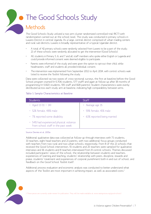# • The Good Schools Study

## Methods

The Good Schools Study utilized a two arm cluster randomized controlled trial (RCT) with randomization carried out at the school level. The study was conducted in primary schools in Luwero District in central Uganda. As a large, central district comprised of urban trading centers and rural sub-districts, Luwero is broadly representative of a typical Ugandan district.

- A total of 42 primary schools were randomly selected from Luwero to be a part of the study; 21 of these schools were randomly allocated to get the intervention (Good Schools).
- All students in Primary 5, 6, and 7 and all staff members who spoke either English or Luganda and could provide informed consent were deemed eligible to participate.
- Parents were informed of the study and were given the option to opt-out their child, while headmasters, staff and students all provided individual consent.
- The intervention was implemented from September 2012 to April 2014, with control schools waitlisted to receive the Toolkit following the study.

Data were collected via two waves of cross-sectional surveys, the first at baseline before the Good School program started (n=3,706 students, 577 staff) and again at follow-up after 18 months of programming (n=3,820 students, 591 staff and 828 parents). Student characteristics were evenly distributed across each study arm at baseline, indicating high comparability between arms.

#### Table 1: Sample Characteristics at Baseline

| <b>Students</b>                                                               | <b>Staff</b>                 |
|-------------------------------------------------------------------------------|------------------------------|
| • Aged 13 $(11 - 14)$                                                         | $\cdot$ Average age 35       |
| · 52% female, 48% male                                                        | · 59% female, 41% male       |
| • 7% reported some disability                                                 | • 63% reported being married |
| • 54% had experienced physical violence<br>from school staff in the past week |                              |

#### Source: Devries et al. 2015a

Additional qualitative data was collected at follow-up through interviews with 71 students, 33 teachers, eight head teachers and 21 parents, with two additional focus groups conducted with teachers from two rural and two urban schools, respectively. From 8 of the 21 schools that received the Good School intervention, 55 students and 25 teachers were sampled for qualitative interviews and 16 students and 8 teachers interviewed from 8 control schools. Themes discussed included participants' views of the school, the relationship between students and teachers, experiences of learning and teaching, students' relationship with peers, discipline, rewards and praise, students' treatment and experiences of corporal punishment both in and out of school, and feedback on the Good School Toolkit itself.

Additional process evaluation and economic analysis was conducted to better understand what aspects of the Toolkit are most important in achieving impact, as well as associated costs.<sup>1</sup>

![](_page_8_Picture_13.jpeg)

1 These pieces are currently under review for publication. They will be made available at: www.raisingvoices.org/good-school/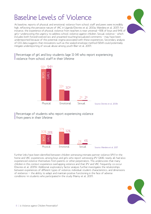#### 8 | Is Violence against Children Preventable?

## Baseline Levels of Violence

At baseline, reports of physical and emotional violence from school staff and peers were incredibly high, reflecting the pervasive nature of VAC in Uganda (Devries et al. 2013a; Wandera et al. 2017). For instance, the experience of physical violence from teachers is near universal—93% of boys and 94% of girls—underscoring the urgency to address school violence against children. Sexual violence – which includes both forced/coerced sex and unwanted touching/sexualized comments – may have been underreported because of the potential stigma associated with these experiences. Secondary analysis of GSS data suggests that innovations such as the sealed-envelope method (SEM) could potentially mitigate underreporting of sexual abuse among youth (Barr et al. 2017).

Percentage of girl and boy students (age 11-14) who report experiencing violence from school staff in their lifetime

![](_page_9_Figure_4.jpeg)

2% 4%

Percentage of students who report experiencing violence

30% 28% 32%

BO  $\gtrsim$  GIRLS

37% 32%

Physical Emotional Sexual

![](_page_9_Figure_6.jpeg)

Source: Wandera et al. 2017

![](_page_9_Picture_7.jpeg)

![](_page_9_Picture_8.jpeg)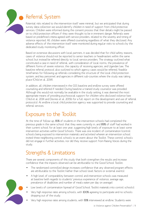![](_page_10_Picture_0.jpeg)

## Referral System

Potential risks related to the intervention itself were minimal, but we anticipated that during survey data collection we would identify children in need of support from child protective services. Children were informed during the consent process that their details might be passed on to child protection officers if they were thought to be in imminent danger. Referrals were based on predefined criteria agreed with service providers, related to the severity and timing of violence reported. All children were offered counseling regardless of what they disclosed. Any adverse effects of the intervention itself were monitored during regular visits to schools by the dedicated study monitoring officer.

Based on extensive discussions with local partners, it was decided that for child safety reasons, cases of violence should not be reported to senior teachers or headmasters within the same school but instead be referred directly to local service providers. The strategy outlined what constituted a case in need of referral, with consideration of local norms, the prevalence of different forms of severe violence, the capacity of receiving agencies, and Ugandan law. The baseline referral protocol also outlined to which agency cases would be referred, feasible timeframes for following up referrals considering the structure of the local child protection system, and key personnel and agencies in different sub-counties where the study was taking place (Child et al. 2014).

In addition, all children interviewed in the GSS baseline and endline survey were offered counseling and referred if needed. During baseline a trained study counselor was provided. Although this would not normally be available in the study setting, it was deemed the most appropriate means of providing psychosocial support for children who disclosed violence (see Child et al. 2014 and Devries et al. 2015b for a full report on the development and use of referral protocols). At endline a local child protection agency was supported to provide counseling and referral services.

## Exposure to the Toolkit

At the time of follow-up, 81% of students in the intervention schools had completed the previous grade in the same school that they were currently in, and 89% of staff had worked in their current school for at least one year, suggesting high levels of exposure to at least some intervention activities within Good Schools. There was one incident of contamination (control schools being exposed to intervention materials and activities) wherein an intervention school invited three neighboring control schools to an event about the Toolkit. These control schools did not engage in further activities, nor did they receive support from Raising Voices during the study.

## Strengths & Limitations

There are several components of this study that both strengthen the results and increase confidence that the impacts observed can be attributable to the Good School Toolkit:

- The randomized controlled design increases confidence that any observed program effects are attributable to the Toolkit (rather than school-level factors or external events).
- A high level of comparability between control and intervention schools was measured at baseline (with regards to students' previous experience of violence, average age, prevalence of disabilities and number of meals eaten per day on average).
- Low levels of contamination (spread of Good School Toolkit materials into control schools).
- Very high response rates among schools, with 100% agreeing to participate and no schools dropping out of the study.
	- Very high response rates among students, with 93% interviewed at endline. Students were

![](_page_10_Picture_14.jpeg)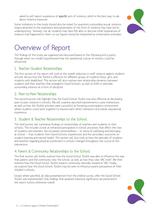asked to self-report experience of *specific* acts of violence, which is the best way to ask about violence exposure.

Some limitations to the study should also be noted. For questions surrounding sexual violence, stigma attached to the experience and perpetration of this form of violence may have led to underreporting. Similarly, not all students may have felt able to disclose other experiences of violence that happened to them, so our figures should be interpreted as conservative estimates.

![](_page_11_Picture_2.jpeg)

## Overview of Report

The findings of this study are organised and discussed based on the following entry points through which our model hypothesized that the operational culture of schools could be influenced:

#### 1. Teacher-Student Relationships

The first section of the report will look at the overall reduction in staff violence against students and will discuss how the Toolkit is effective for different groups of students (boys, girls, and students with disabilities). This section will also explore new relationship dynamics between students and their teachers that emerged in Good Schools, as well as shifts in attitudes surrounding violence as a form of discipline.

#### 2. Peer-to-Peer Relationships

The second section will highlight how the Good School Toolkit was also effective at decreasing peer-to-peer violence in schools. We will examine reported improvements in peer interactions, as well as how the Toolkit activities were successful at fostering a participatory environment where students could work together to improve each other's behaviors and overall educational experience.

#### 3. Student & Teacher Relationships to the School

The third section will summarize findings on relationships of teachers and students to their schools. This includes a look at enhanced participation in school processes that affect the lives of students and teachers, the increased connectedness — or sense of wellbeing and belonging at school — that students from Good Schools experienced, and the secondary outcomes on student learning and mental health. This section will also look at how the attitudes of students and teachers regarding physical punishment in schools changed throughout the course of the intervention.

#### 4. Parent & Community Relationships to the School

The final section will briefly explore how the Good School Toolkit was able to influence the way that parents and the community view the school, as well as how they view VAC itself. We then examine how the Good School Toolkit impacts community attitudes related to VAC. Finally, we explore how the Good School Toolkit may be seen to influence parent perceptions of their children's schools.

Except where specified, all data presented are from the endline survey, after the Good School Toolkit was implemented. Only findings that attained statistical significance are presented in this report (unless otherwise noted).

![](_page_11_Picture_14.jpeg)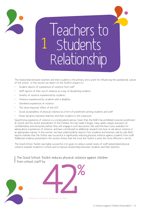![](_page_12_Picture_0.jpeg)

# Teachers to **Students** Relationship 1

The relationship between teachers and their students is the primary entry point for influencing the operational culture of the school. In this section we report on the Toolkit's impact on:

- • Student reports of experiences of violence from staff
- Staff reports of their use of violence as a way of disciplining students
- Severity of violence experienced by students
- Violence experienced by students with a disability
- • Gendered experiences of violence
- • The 'dose-response' effect of the GST
- Social acceptability of physical violence as a form of punishment among students and staff
- Power dynamics between teachers and their students in the classroom

Quantifying experience of violence is a complicated exercise. Given that the MoES has prohibited corporal punishment at school and the recent amendment of the Children Act has made it illegal, many adults require assurance of confidentiality and anonymity before they will engage in such discussions. We used the best tools available for asking about experiences of violence, and have contributed to additional research into how to ask about violence in an appropriate manner. In this section, we have stated endline reports from students and teachers side by side. Both reports indicate that the Toolkit was successful in significantly reducing physical violence against students from staff. Additional evidence presented in this section shows that the more the Toolkit is used, the more effective it can be.

The Good School Toolkit was highly successful in its goals to reduce overall levels of staff-perpetrated physical violence towards students in school and to improve relationships between students and their teachers.

The Good School Toolkit reduces physical violence against children from school staff by

![](_page_12_Picture_14.jpeg)

![](_page_12_Picture_15.jpeg)

2 Reduction in relative risk, see Devries et al. 2015a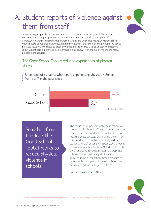# A. Student reports of violence against them from staff

![](_page_13_Picture_1.jpeg)

Asking young people about their experience of violence raises many issues.<sup>3</sup> The ethical concerns about bringing up traumatic or painful experiences as well as ambiguities of generalized responses can make the exercise daunting and unreliable. However without asking young people about their experience, it is hard to quantify the nature of the problem and devise practical solutions. We chose to break down the experience into a series of specific questions about violent acts experienced (see examples in box below), with the aim of making the recall process more accurate.

### The Good School Toolkit reduced experiences of physical violence

Percentage of students who report experiencing physical violence from staff in the past week

![](_page_13_Figure_5.jpeg)

Snapshot from the Trial: The Good School Toolkit works to reduce physical violence in schools!

The reduction of physical violence in schools at the hands of school staff was a primary outcome measured in the Good School Toolkit RCT—and was its biggest success. Our analysis shows that the Good School Toolkit effectively reduced students' risk of experiencing past week physical violence from a teacher by 42% (odds ratio (OR) 0.40, 95% CI 0.25—0.62, p-value<0.0001), and this result was statistically significant. To our knowledge, no other school-based program to reduce violence against children in schools has demonstrated such a large effect size.

Source: Devries et al. 2015a

![](_page_13_Picture_9.jpeg)

3 For more on the ethical considerations for asking children about violence in resource poor settings, see Devries et al. 2015b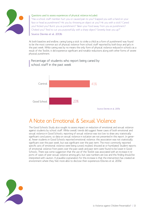![](_page_14_Picture_0.jpeg)

#### Questions used to assess experiences of physical violence included:

"Has a school staff member: hurt you or caused pain to you? Slapped you with a hand on your face or head as punishment? Hit you by throwing an object at you? Hit you with a stick? Caned you? Kicked you? Burnt you as punishment? Taken your food away from you as punishment? Choked you? Tried to cut you purposefully with a sharp object? Severely beat you up?"

Source: Devries et al. 2013b

At both baseline and endline, caning (using a stick to strike a child as a form of punishment) was found to be the most common act of physical violence from school staff reported by both boys and girls in the past week. While caning was by no means the only form of physical violence reduced in schools as a result of the Toolkit, it did experience significant and notable reductions along with other forms of severe physical punishment.

#### Percentage of students who report being caned by school staff in the past week

![](_page_14_Figure_6.jpeg)

## A Note on Emotional & Sexual Violence

The Good Schools Study also sought to assess impact on reduction of emotional and sexual violence against students by school staff. While overall trends did suggest fewer cases of both emotional and sexual violence in Good Schools, reporting of sexual violence was too low to draw any statistically significant conclusions, so data on sexual violence in isolation are not presented in this report. In general, fewer students in Good Schools reported emotional violence; this association was not statistically significant over the past week, but was significant over the past term. The most commonly reported specific acts of emotional violence were being cursed, insulted, shouted at or humiliated. Student reports of emotional violence from peers over the past week and past term were found to be lower in Good Schools. There was some suggestion that the use of the Toolkit was associated with an increase in reports of cases of peer sexual violence among girls, but case numbers are low and this finding should be interpreted with caution. A plausible explanation for this increase is that the intervention has created an environment where they feel more able to disclose their experiences (Devries et al. 2017a).

![](_page_14_Picture_9.jpeg)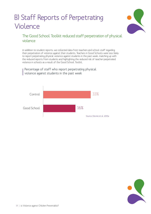# B) Staff Reports of Perpetrating Violence

![](_page_15_Picture_1.jpeg)

### The Good School Toolkit reduced staff perpetration of physical violence

In addition to student reports, we collected data from teachers and school staff regarding their perpetration of violence against their students. Teachers in Good Schools were less likely to report perpetrating physical violence against students in the past week, matching up with the reduced reports from students and highlighting the reduced risk of teacher-perpetrated violence in schools as a result of the Good School Toolkit.

Percentage of staff who report perpetrating physical  $\,$  violence against students in the past week

![](_page_15_Figure_5.jpeg)

![](_page_15_Picture_6.jpeg)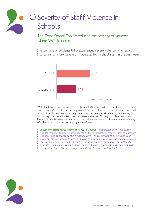# C) Severity of Staff Violence in **Schools**

The Good School Toolkit reduced the severity of violence where VAC did occur

Percentage of students (who experienced severe violence) who report  $\,$  sustaining an injury (severe or moderate) from school staff in the past week

![](_page_16_Figure_3.jpeg)

While the Good School Toolkit did not achieve a 100% reduction in the risk of violence, those students who did report experiencing physical or sexual violence in the past week experienced it with significantly less severity. Among students who experienced violence, those attending Good Schools reported fewer injuries — both moderate and severe. Although complete rejection of violent discipline takes time, these findings suggest that reductions in both frequency and intensity of violence can be realized within program timeframes.

Questions to assess injuries sustained by physical violence  $-$  an indicator of violence severity  $$ included measures to assess both moderate and severe injuries. For moderate injuries, questions included: "You had bruising/swelling/bleeding/cuts?" "It was difficult to sit down on your buttocks?" "It was difficult to walk?" "You had to stay home from school?" For severe injuries, additional questions included: "You lost consciousness, even temporarily?" "You suffered a dislocated, sprained, fractured or broken bone?" "You had any other serious injury?" "You had to get medical attention, for example from the health worker or hospital?"

![](_page_16_Picture_6.jpeg)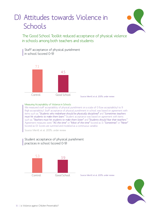# D) Attitudes towards Violence in **Schools**

The Good School Toolkit reduced acceptance of physical violence in schools among both teachers and students

Staff acceptance of physical punishment in school (scored 0-9)

![](_page_17_Figure_4.jpeg)

Source: Merrill et al. 2017b, under review

#### Measuring Acceptability of Violence in Schools

We measured staff acceptability of physical punishment on a scale of 0 (low acceptability) to 9 (high acceptability). Staff acceptance of physical punishment in school was based on agreement with items such as: "Students who misbehave should be physically disciplined" and "Sometimes teachers must hit students to make them learn." Student acceptance was based on agreement with items in the students of such as: "Teachers must hit students to make them listen" and "Students should fear their teachers." Agreement measures were: "All the time" or "Most of the time" (scored as 1); "Sometimes" or "Never" (scored as 0). Scores are summed and modeled as a continuous variable.

Source: Merrill et al. 2017b, under review

![](_page_17_Figure_9.jpeg)

![](_page_17_Figure_10.jpeg)

Source: Merrill et al. 2017b, under review

![](_page_17_Picture_12.jpeg)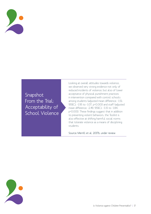![](_page_18_Picture_0.jpeg)

## Snapshot From the Trial: Acceptability of School Violence

Looking at overall attitudes towards violence, we observed very strong evidence not only of reduced incidents of violence, but also of lower acceptance of physical punishment practices in intervention compared with control schools among students (adjusted mean difference: -1.51; 95%CI: -1.95 to -1.07, p<0.001) and staff (adjusted mean difference: -2.49; 95%CI: -3.15 to -1.84, p<0.001). These findings suggest that in addition to preventing violent behaviors, the Toolkit is also effective at shifting harmful social norms that tolerate violence as a means of disciplining students.

Source: Merrill et al. 2017b, under review

![](_page_18_Picture_4.jpeg)

Is Violence against Children Preventable? | 17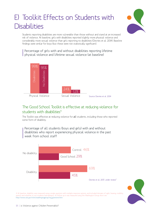# E) Toolkit Effects on Students with **Disabilities**

![](_page_19_Picture_1.jpeg)

Students reporting disabilities are more vulnerable than those without and stand at an increased risk of violence. At baseline, girls with disabilities reported slightly more physical violence and considerably more sexual violence than girls reporting no disabilities (Devries et al. 2014). Baseline findings were similar for boys (but these were not statistically significant).

 $\,$  Percentage of girls with and without disabilities reporting lifetime physical violence and lifetime sexual violence (at baseline)

![](_page_19_Figure_4.jpeg)

#### The Good School Toolkit is effective at reducing violence for students with disabilities<sup>4</sup>  $d$ uc

The Toolkit was effective at reducing violence for *all* students, including those who reported some form of disability.

 $\overline{a}$  46%  $\overline{a}$ No disability Percentage of all students (boys and girls) with and without disabilities who report experiencing physical violence in the past

![](_page_19_Figure_8.jpeg)

![](_page_19_Picture_9.jpeg)

4 At baseline, disability was measured using a single question with multiple response options, and included domains of sight, hearing, mobility, speech and whether or not students had epilepsy. At follow up it was measured using the Washington Group short set: http://www.cdc.gov/nchs/washingtongroup/wg\_questions.htm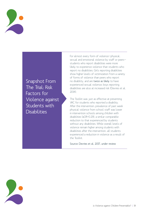![](_page_20_Picture_0.jpeg)

Snapshot From The Trial: Risk Factors for Violence against Students with **Disabilities** 

For almost every form of violence—physical, sexual and emotional violence by staff or peers students who report disabilities were more likely to experience violence than students who report no disabilities. Girls reporting disabilities show higher levels of victimization from a variety of forms of violence than peers who report no disability, and are twice as likely to have experienced sexual violence; boys reporting disabilities are also at increased risk (Devries et al.  $2014$ ).

The Toolkit was just as effective at preventing VAC for students who reported a disability. After the intervention, prevalence of past week physical violence from school staff was lower in intervention schools among children with disabilities (aOR=0.29), a similar comparable reduction to that experienced by students without any disabilities. While overall levels of violence remain higher among students with disabilities after the intervention, all students experienced a reduction in violence as a result of the Toolkit.

Source: Devries et al. 2017, under review

![](_page_20_Picture_5.jpeg)

Is Violence against Children Preventable? | 19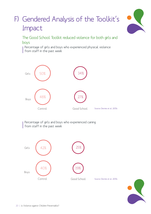# F) Gendered Analysis of the Toolkit's Impact

![](_page_21_Picture_1.jpeg)

The Good School Toolkit reduced violence for both girls and boys

Percentage of girls and boys who experienced physical violence

from staff in the past week

![](_page_21_Figure_5.jpeg)

Percentage of girls and boys who experienced caning from staff in the past week

![](_page_21_Figure_7.jpeg)

![](_page_21_Picture_8.jpeg)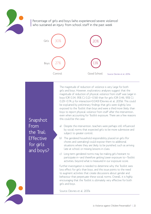![](_page_22_Picture_0.jpeg)

Percentage of girls and boys (who experienced severe violence) who sustained an injury from school staff in the past week

![](_page_22_Figure_2.jpeg)

The magnitude of reduction of violence is very large for both girls and boys. However, exploratory analyses suggest that the magnitude of reduction of physical violence from staff was larger in boys (OR 0.34, 95% CI 0.21—0.56) than for girls (OR 0.46, 95% CI 0.29—0.74; p for interaction=0.043) (Devries et al. 2017a). This could be explained by preliminary findings that girls were slightly less exposed to the Toolkit than boys and were a third more likely than boys to report physical violence from staff after the intervention, even when accounting for Toolkit exposure. There are a few reasons this could be the case:

a) Despite the intervention, teachers were perhaps still influenced by social norms that expected girls to be more submissive and subject to greater control.

- b) The gendered household responsibility placed on girls (for chores and caretaking) could expose them to additional situations where they are likely to be punished, such as arriving late at school or missing lessons in class.
- c) Long-term gendered norms may be making girls hesitant to participate in—and therefore getting lower exposure to—Toolkit activities, beyond what is measured in our exposure score.

Further investigation is needed to determine why the Toolkit sees less effect for girls than boys, and this issue points to the need to augment activities that create discussions about gender and behaviour that perpetuate these social norms. Overall, it is highly encouraging that the Toolkit is ultimately very effective for both girls and boys.

Source: Devries et al. 2017a

![](_page_22_Picture_9.jpeg)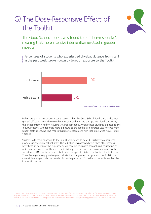# G) The Dose-Responsive Effect of the Toolkit

![](_page_23_Picture_1.jpeg)

The Good School Toolkit was found to be "dose-responsive", meaning that more intensive intervention resulted in greater impacts

Percentage of students who experienced physical violence from staff in the past week (broken down by level of exposure to the Toolkit)

![](_page_23_Figure_4.jpeg)

Preliminary process evaluation analysis suggests that the Good School Toolkit had a "dose-response" effect, meaning the more that students and teachers engaged with Toolkit activities, the greater effect it had on reducing violence in schools. Among those students exposed to the Toolkit, students who reported more exposure to the Toolkit also reported less violence from school staff at endline. This implies that more engagement with Toolkit activities results in less violence.<sup>5</sup>

Students with more exposure to the Toolkit were found to be 24% less likely to experience physical violence from school staff. This reduction was observed even when other reasons why these students may be experiencing violence are taken into account, and irrespective of which intervention school they attended. Similarly, teachers who have more exposure to the Toolkit were 23% less likely to perpetrate violence against children in schools in the last term. These findings are very promising and indicate that the greater the uptake of the Toolkit, the more violence against children in schools can be prevented. This adds to the evidence that the intervention works!

![](_page_23_Picture_7.jpeg)

5 Student exposure was measured based on responses to 10 questions; for this report we present by the following categories: highly exposed answered positively on 9 or more, less exposed answered positively to 7 or less. The GSS process evaluation paper was under review at the time of this report. All GSS papers will be made available at www.raisingvoices.org/goodschools at time of publication.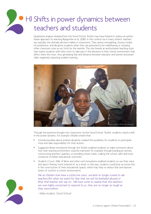# H) Shifts in power dynamics between teachers and students

Qualitative analysis revealed how the Good School Toolkit may have helped to reduce an authoritarian approach to teaching (Kyegombe et al. 2016). In this context (as in many others), teachers are typically the ultimate decision-makers in classrooms. They assess wrongdoing, choose modes of punishment, and discipline students when they are perceived to be misbehaving or violating other classroom rules as set forth by the teacher. This role breeds an authoritarian teaching style that leaves students with little room to take part in the decisions in their school environment that affect them the most, thus generating fear and distance between educator and learner and potentially negatively impacting student learning.

![](_page_24_Picture_2.jpeg)

Through the practices brought into classrooms via the Good School Toolkit, students noted a shift in this power dynamic. For example children shared that:

- Introducing ideas about positive discipline created the possibility for students to participate more and take responsibility for their actions.
- Suggestion Boxes introduced through the Toolkit enabled students to make comments about how their learning environment could be improved, for example through building pit latrines, constructing teachers' quarters, or providing school meals, making the school safer and more conducive to better educational outcomes.
- Student's Court, Wall of Fame, and other such innovations enabled students to use their voice and report feeling 'more listened to' as a result. In this way, students could play an active role in the construction of their educational spaces, which may help to reduce fear and improve levels of comfort in school environments.

We as children now have a collective voice...we larel no longer scared to ask teachers [for what we want] for fear that we will be [verbally] abused or [that the] teacher will say no. We have come to realize that the teachers are now highly concerned to respond to us, they are no longer as tough as they were before.

- Male student, Good School

![](_page_24_Picture_9.jpeg)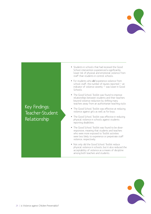![](_page_25_Picture_0.jpeg)

## Key Findings: Teacher-Student Relationship

- Students in schools that had received the Good School intervention experienced a significantly lower risk of physical and emotional violence from staff than students in control schools.
- For students who did experience violence from school staff, the number of injuries reported  $-$  an indicator of violence severity — was lower in Good Schools.
- The Good School Toolkit was found to improve relationships between students and their teachers beyond violence reduction by shifting many teachers away from an authoritarian teaching style.
- The Good School Toolkit was effective at reducing violence against girls as well as for boys.
- The Good School Toolkit was effective in reducing physical violence in schools against students reporting disabilities.
- The Good School Toolkit was found to be doseresponsive, meaning that students and teachers who were more exposed to Toolkit activities were less likely to experience or perpetrate staff violence, respectively.
- Not only did the Good School Toolkit reduce physical violence in schools, but it also reduced the acceptability of violence as a means of discipline among both teachers and students.

![](_page_25_Picture_9.jpeg)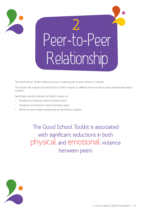![](_page_26_Picture_0.jpeg)

Peer-to-Peer Relationship 2

The Good School Toolkit achieved success in reducing peer-to-peer violence in schools.

This section will explore the Good School Toolkit's impact on different forms of peer-to-peer violence reported by students.

Specifically, we will examine the Toolkit's impact on:

- Prevalence of physical violence between peers
- Prevalence of emotional violence between peers
- Effects on peer-to-peer relationships as reported by students

The Good School Toolkit is associated with significant reductions in both physical and emotional violence between peers

![](_page_26_Picture_9.jpeg)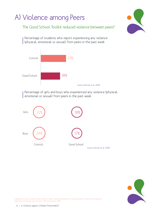![](_page_27_Figure_0.jpeg)

![](_page_27_Picture_1.jpeg)

6 Reduction in peer-to-peer violence did not reach statistical significance in the past week, but did reach statistical significance in the past term (Control: 17%, Intervention: 14%)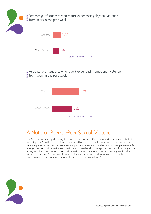![](_page_28_Picture_0.jpeg)

Percentage of students who report experiencing physical violence from peers in the past week

![](_page_28_Figure_2.jpeg)

Percentage of students who report experiencing emotional violence from peers in the past week

![](_page_28_Figure_4.jpeg)

## A Note on Peer-to-Peer Sexual Violence

The Good Schools Study also sought to assess impact on reduction of sexual violence against students by their peers. As with sexual violence perpetrated by staff, the number of reported cases where peers were the perpetrators over the past week and past term were few in number, and no clear pattern of effect emerged. As sexual violence is a sensitive issue and often largely underreported, particularly among such a young participant pool, rates of sexual violence in the sample were too low to draw any statistically significant conclusions. Data on sexual violence alone between peers is therefore not presented in this report (note, however, that sexual violence is included in data on "any violence").

![](_page_28_Picture_7.jpeg)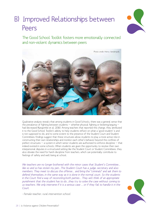# B) Improved Relationships between Peers

![](_page_29_Picture_1.jpeg)

The Good School Toolkit fosters more emotionally connected and non-violent dynamics between peers

![](_page_29_Picture_3.jpeg)

Qualitative analysis reveals that among students in Good Schools, there was a general sense that the prevalence of fighting between students – whether physical fighting or bickering/arguing – had decreased (Kyegombe et al. 2016). Among teachers that reported this change, they attributed it to the Good School Toolkit's ability to help students reflect on what a 'good student' is and is not supposed to do, and to some extent to the presence of the Student Court and Student Committees. Findings suggest that these structures allow students to play a more active role in constructing their own relationships and monitor each other's behavior beyond the confines of prefect structures — a system in which senior students are authorized to enforce discipline — that indeed existed in some schools. When students are given the opportunity to resolve their own interpersonal disputes in a structured setting like the Student Court or Student Committees, they also obviate the need for harsh discipline from teachers, which can potentially contribute to feelings of safety and well-being at school.

We teachers are no longer bothered with the minor cases that Student's Committee... like so and so has stolen my pen...The Student Court has a judge, secretary and also members. They meet to discuss the offense... and bring the "criminals" and ask them to defend themselves, in the same way as it is done in the normal court. So the students in the Court find a way of reconciling both parties… They will think of an appropriate punishment that the student has to do…they try to solve the case without coming to us teachers. We only intervene if it is a serious case … or if they fail to handle it in the Court

- Female teacher, rural intervention school

![](_page_29_Picture_7.jpeg)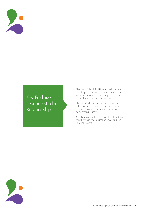![](_page_30_Picture_0.jpeg)

Key Findings: Teacher-Student Relationship

- The Good School Toolkit effectively reduced peer-to-peer emotional violence over the past week, and was seen to reduce peer-to-peer physical violence over the past term.
- The Toolkit allowed students to play a more active role in constructing their own social relationships and improved feelings of wellbeing among students.
- Key structures within the Toolkit that facilitated this shift were the Suggestion Boxes and the Student Courts.

![](_page_30_Picture_5.jpeg)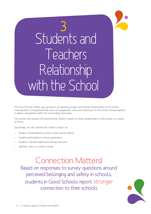# Students and Teachers Relationship with the School" 3

The Good School Toolkit was successful at improving student and teacher relationships to the school, meaning that it strengthened the sense of engagement, voice and connection to the school among teachers, students, and parents within the surrounding community.

This section will explore the Good School Toolkit's impact on these relationships to the school in a variety of forms.

Specifically, we will examine the Toolkit's impact on:

- Student connectedness to their school and its effects
- Student participation in school governance
- Students' mental health and learning outcomes
- Teachers' views on school climate

## Connection Matters!

Based on responses to survey questions around perceived belonging and safety in schools, students in Good Schools report stronger connection to their schools

![](_page_31_Picture_10.jpeg)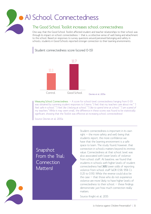# A) School Connectedness

#### The Good School Toolkit increases school connectedness

One way that the Good School Toolkit affected student and teacher relationships to their school was through its impact on school connectedness — that is, a collective sense of well-being and attachment to the school. Based on responses to survey questions around perceived belonging and safety in schools, students in Good Schools reported stronger connection to their learning environments.

Student connectedness score (scored 0-15)

![](_page_32_Figure_4.jpeg)

Measuring School Connectedness - A score for school-level connectedness (ranging from 0-15) was obtained by summing student responses to 5 items: "I feel that my teachers care about me." "I feel safe in school." "I feel like I belong at school." "I like to spend time at school." "I am scared of my teachers." While it may seem small, the difference in these scores was found to be statistically significant, showing that the Toolkit was effective at increasing school connectedness!

Source: Devries et al. 2015a

Snapshot From the Trial: Connection Matters!

Student connectedness is important in its own right — the more safety and well-being that students report, the more confidence we have that the learning environment is a safe space to learn. The study found, however, that connection in schools matters beyond its intrinsic value. Connectedness at that school level was also associated with lower levels of violence from school staff. At baseline, we found that students in schools with higher levels of student connectedness had 36% lower odds of reporting violence from school staff (aOR 0.58, 95% CI: 0.25 to 0.91). While the reverse could also be the case  $-$  that those who do not experience violence are more likely to have higher levels of connectedness to their school — these findings demonstrate just how much connection really matters.

Source: Knight et al. 2015

![](_page_32_Picture_10.jpeg)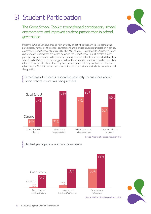## B) Student Participation

The Good School Toolkit strengthened participatory school environments and improved student participation in school governance

Students in Good Schools engage with a variety of activities that aim to strengthen the participatory nature of the school environment and increase student participation in school governance. Good School structures like the Wall of Fame, Suggestion Box, Student's Court and Student's Committees are means by which the Good School Toolkit creates a more participatory environment. While some students in control schools also reported that their school had a Wall of Fame or a Suggestion Box, these reports were low in number, and likely referred to similar structures that may have been in place but may not have had the same effects as the Good Schools structures, or it is possible that some students misunderstood the question.

![](_page_33_Figure_3.jpeg)

#### Percentage of students responding positively to questions about Good School structures being in place

Source: Analysis of process evaluation data

![](_page_33_Figure_6.jpeg)

![](_page_33_Picture_8.jpeg)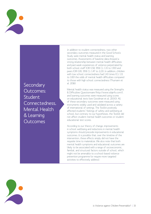![](_page_34_Picture_0.jpeg)

**Secondary** Outcomes: **Student** Connectedness, Mental Health & Learning Outcomes

In addition to student connectedness, two other secondary outcomes measured in the Good Schools Study were mental health status and learning outcomes. Assessments of baseline data showed a strong relationship between mental health difficulties and past-week experiences of violence perpetrated by both school staff (OR=1.58, 95% CI: 1.31 to 1.90) and peers (OR=1.81, 95% CI: 1.47 to 2.23). In addition, children with low school connectedness had 1.43 times (CI: 1.11 to 1.83) the odds of mental health difficulties compared to those with high school connectedness (Thumann et al. 2016).

Mental health status was measured using the Strengths & Difficulties Questionnaire (http://www.sdqinfo.com/), and learning outcomes were measured using scores on educational tests (see Goodman et al. 2000). All of these secondary outcomes were measured using instruments widely used and validated across a variety of international of settings. The Toolkit positively affected students' feelings of safety and wellbeing at school, but contrary to our hypotheses, the Toolkit did not affect student mental health outcomes or student educational test scores.

According to our theory of change, improvements in school wellbeing and reductions in mental health symptoms should precede improvements in educational outcomes. It is possible that, over the timeline of the intervention, these effects simply did not have the requisite time to materialize. We also note that both mental health symptoms and educational outcomes are likely to be associated with a range of socioeconomic, familial, and structural factors outside of school, which might not be amenable to a school-based violence prevention programme (or require more targeted activities to effectively address).

![](_page_34_Picture_5.jpeg)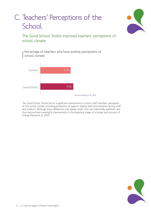# C. Teachers' Perceptions of the **School**

![](_page_35_Picture_1.jpeg)

The Good School Toolkit improved teachers' perceptions of school climate

Percentage of teachers who have positive perceptions of school climate

![](_page_35_Figure_4.jpeg)

The Good School Toolkit led to a significant improvement in school staff members' perception of the school climate, including perceptions of support, respect and communication among staff and students. Although these differences may appear small, they are statistically significant and thus demonstrate meaningful improvements in the beginning stages of a longer term process of change (Kayiwa et al. 2017).

![](_page_35_Picture_6.jpeg)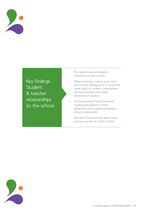![](_page_36_Picture_0.jpeg)

Key Findings: Student & teacher relationships to the school

- • The Toolkit improved student's connection to their schools.
- While connection matters as an end in and of itself, findings go on to show that higher levels of student connectedness are also associated with lower prevalence of violence.
- The Good School Toolkit increased student participation in school governance and fostered participatory school environments.
- Teachers in Good Schools report more positive outlooks of school climate.

![](_page_36_Picture_6.jpeg)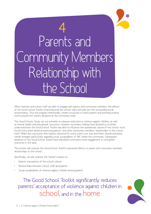# Parents and Community Members Relationship with the School 4

When teachers and school staff are able to engage with parents and community members, the effects of the Good School Toolkit extend beyond the school walls and spill into the surrounding social environments. Thus the program intentionally creates structures to reach parents and promote positive norms around non-violent discipline at the community level.

The Good Schools Study set out primarily to measure reductions in violence against children, as well as mental health and educational outcomes. However, secondary findings have allowed us to better understand how the Good School Toolkit was able to influence the operational culture of the school via its fourth entry point aimed at improving parents' and other community members' relationships to the school itself. While less conclusive than impacts observed for entry points one, two and three, several promising trends emerged, particularly regarding social acceptability of VAC within the community. Subsequent iterations of the Good School Toolkit have intensified community-level engagement to strengthen outcomes in this area.

This section will explore the Good School Toolkit's perceived effects on parent and community members' relationships to the school.

Specifically, we will examine the Toolkit's impact on:

- Parents' perceptions of the school culture
- Relationships between school staff and parents
- Social acceptability of violence against children among parents

The Good School Toolkit significantly reduces parents' acceptance of violence against children in school and in the home

![](_page_37_Picture_9.jpeg)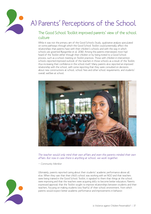![](_page_38_Picture_0.jpeg)

# A) Parents' Perceptions of the School

### The Good School Toolkit improved parents' view of the school culture

While it was not the primary aim of the Good Schools Study, qualitative analysis speculated on some pathways through which the Good School Toolkit could potentially affect the relationships that parents have with their children's schools and with the way in which schools are governed (Kyegombe et al. 2016). Among the parents interviewed, most had heard of the Toolkit either through their children or by being invited to a Good School process, such as a school meeting on Toolkit practices. Those with children in intervention schools reported improved outlook of the teachers in those schools as a result of the Toolkit, thus increasing their confidence in the school itself. Many parents also reported an improved relationship with the school, with some reporting that they were consulted on decisions about new constructions at school, school fees and other school requirements, and students' overall welfare at school.

![](_page_38_Picture_4.jpeg)

The teacher would only mind their own affairs and even the parents minded their own affairs. But now in case there is anything at school, we work together.

— Community Member

Ultimately, parents reported caring about their students' academic performance above all else. When they saw that their child's school was working with an NGO and that teachers were being trained in the Good School Toolkit, it signaled to them that things at the school were improving and that the teachers were acquiring skills to become better educators. Parents expressed approval that the Toolkit sought to improve relationships between students and their teachers, focusing on making students less fearful of their school environment, from which parents would expect better academic performance and improvements in behavior.

![](_page_38_Picture_8.jpeg)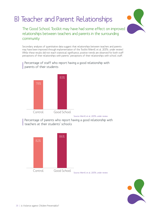# B) Teacher and Parent Relationships

![](_page_39_Picture_1.jpeg)

The Good School Toolkit may have had some effect on improved relationships between teachers and parents in the surrounding community

Secondary analyses of quantitative data suggest that relationships between teachers and parents may have been improved through implementation of the Toolkit (Merrill et al. 2017b, under review). While these results did not reach statistical significance, positive trends are observed for both staff perceptions of their relationships with parents' perceptions of their relationships with school staff.

Percentage of staff who report having a good relationship with parents of their students

![](_page_39_Figure_5.jpeg)

Source: Merrill et al. 2017b, under review

Percentage of parents who report having a good relationship with teachers at their students' schools

![](_page_39_Figure_8.jpeg)

![](_page_39_Picture_9.jpeg)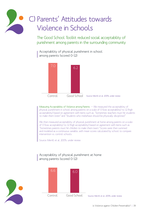# C) Parents' Attitudes towards Violence in Schools

The Good School Toolkit reduced social acceptability of punishment among parents in the surrounding community

Acceptability of physical punishment in school among parents (scored 0-12)

![](_page_40_Figure_3.jpeg)

Measuring Acceptability of Violence among Parents  $-$  We measured the acceptability of physical punishment in school among parents on a scale of O (low acceptability) to 12 (high acceptability) based on agreement with items such as: "Sometimes teachers must hit students to make them listen" and "Students who misbehave should be physically disciplined."

We then measured acceptability of physical punishment at home among parents on a scale of 0 (low acceptability) to 12 (high acceptability) based on agreement with items such as "Sometimes parents must hit children to make them learn." Scores were then summed and modeled as a continuous variable, with mean scores calculated by school to compare intervention vs. control schools.

Source: Merrill et al. 2017b, under review

![](_page_40_Figure_7.jpeg)

![](_page_40_Picture_8.jpeg)

![](_page_40_Picture_9.jpeg)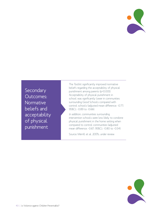![](_page_41_Picture_0.jpeg)

**Secondary** Outcomes: Normative beliefs and acceptability of physical punishment

The Toolkit significantly improved normative beliefs regarding the acceptability of physical punishment among parents (p<0.001). Acceptability of physical punishment in school was significantly lower in communities surrounding Good Schools compared with control schools (adjusted mean difference: -0.77; 95%CI: -0.89 to -0.66).

In addition, communities surrounding intervention schools were less likely to condone physical punishment in the home setting when compared to control communities (adjusted mean difference: -0.67; 95%CI: -0.80 to -0.54).

Source: Merrill et al. 2017b, under review

![](_page_41_Picture_5.jpeg)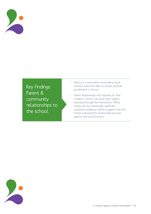![](_page_42_Picture_0.jpeg)

## Key Findings: Parent & community relationships to the school

- • Parents in communities surrounding Good Schools were less likely to accept physical punishment in schools.
- Parent relationships with teachers at their students' school may have been slightly improved through the intervention. While results are not statistically significant, qualitative evidence further suggests that the Toolkit improved the relationship between parents and Good Schools.

![](_page_42_Picture_4.jpeg)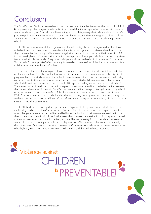# Conclusion

![](_page_43_Picture_1.jpeg)

The Good Schools Study randomized controlled trial evaluated the effectiveness of the Good School Toolkit at preventing violence against students. Findings showed that it was highly effective at reducing violence against students in just 18 months. It achieves this goal through improving relationships and creating a safer psychological environment within which students are able to invest in their learning process, form healthier attachments to their teachers, better identify with their peers, and develop a sense of belonging at their school.

The Toolkit was shown to work for all groups of children including the most marginalized, such as those with disabilities — and was shown to have similar impacts on both girls and boys (even where found to be slightly more effective for boys). While violence against students still occurred after the intervention (31% for past week physical violence), a 42% reduction is an important change, particularly within the study timeframe. In addition, higher levels of exposure could potentially reduce levels of violence even further; the Toolkit had a "dose-responsive" effect, whereby increased exposure to Good School activities was associated with larger reductions in the risk of violence.

The core aim of the Toolkit was to prevent violence in schools, and as such, impacts on violence reduction are the most robust. Nonetheless, the four entry-point approach of the intervention saw other significant program effects. The study revealed that school connectedness — that is, a collective sense of well-being and attachment to the school reported by students — is associated with lower levels of violence from school staff, and that students exposed to the Toolkit reported feeling more connected to their schools. The intervention additionally led to reductions in peer-to-peer violence and improved relationships between the students themselves. Students in Good Schools were more likely to report feeling listened to by school staff, and increased participation in Good School activities was shown to reduce students' risk of violence. While fewer outcomes were assessed related to the fourth entry point (parent and community engagement to the school), we are encouraged by significant effects on decreasing social acceptability of physical punishment in surrounding communities.

The Toolkit is a low-cost, locally-developed approach, implementable by teachers and students and is currently being used at more than 750 schools in Uganda. This model can and should be adapted for contexts across the globe where it can be localized and led by each school with their own unique needs, vision for their students and operational culture. Further research will assess the sustainability of this approach, as well as the most cost-effective model for delivery at scale. The key takeaway from this study is that violence against children at school is preventable, and such prevention efforts can be implemented in a relatively short time period. By investing in practical, context-specific interventions, educators can create not only safe schools, but good schools, where investments will pay dividends beyond violence reduction.

# PREVENTABLE! isViolence against CHILDREN

![](_page_43_Picture_7.jpeg)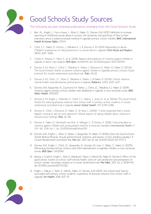![](_page_44_Picture_0.jpeg)

![](_page_44_Picture_1.jpeg)

The following are peer-reviewed publications emerging from the Good Schools Study:

- 1. Barr, A.L., Knight, L., Fran-a-Junior, L., Allen, E., Naker, D., Devries, K.M. (2017). Methods to increase reporting of childhood sexual abuse in surveys: the sensitivity and specificity of face-to-face interviews versus a sealed envelope method in Ugandan primary school children. BMC International Health & Human Rights, 17(1):4.
- 2. Child, J. C., Naker, D., Horton, J., Walakira, E. J., & Devries, K. M. (2014). Responding to abuse: Children's experiences of child protection in a central district, Uganda. Child Abuse and Neglect, 38(10), 1647—1658.
- 3. Clarke, K., Patalay, P., Allen, E., et al. (2016). Patterns and predictors of violence against children in Uganda: a latent class analysis. BMJ Open, 6:e010443. doi: 10.1136/bmjopen-2015-010443
- 4. Devries, K. M., Allen, E., Child, C., Walakira, E., Parkes, J., Elbourne, D., Watts, D., Naker, D. (2013a). The Good Schools Toolkit to prevent violence against children in Ugandan primary schools: Study protocol for cluster-randomised controlled trial. Trials, 14:232.
- 5. Devries, K. M., Child, J. C., Allen, E., Walakira, E., Parkes, J., & Naker, D. (2013b). School violence, mental health, and educational performance in Uganda. Pediatrics, 133(1), e129-e137.
- 6. Devries, K.M., Kyegombe, N., Zuurmond, M., Parkes, J., Child, J.C., Walakira, E.J., Naker, D. (2014). Violence against primary school children with disabilities in Uganda: a cross-sectional study. BMC Public Health, 14(1):1017.
- 7. Devries, K. M., Knight, L., Mirembe, A., Child, J. C., Nakuti, J., Jones, R., et al. (2015a). The Good School Toolkit for reducing physical violence from school staff to primary school students: A cluster randomised controlled trial in Uganda. Lancet Global Health, 3(7), E378—E386.
- 8. Devries, K., Child, J., Elbourne, D., Naker, D., & Heise, L. (2015b). "I never expected that it would happen, coming to ask me such questions": Ethical aspects of asking children about violence in resource poor settings. Trials, 16, 516.
- 9. Devries, K., Naker, D., Monteath-van Dok, A., Milligan, C., & Shirley, A. (2016). Collecting data on violence against children and young people: need for a universal standard. International Health, 8: 159—161, 2016 Apr 1. doi: 10.1093/inthealth/ihw009
- 10. Devries, K.M., Knight, L., Allen, E., Parkes, J., Kyegombe, N., Naker, D. (2017a). Does the Good Schools Toolkit Reduce Physical, Sexual and Emotional Violence, and Injuries, in Girls and Boys equally? A Cluster-Randomised Controlled Trial. Prev Sci., 2017 Apr 10. doi: 10.1007/s11121-017-0775-3.
- 11. Devries, K.M., Knight, L., Child, J.C., Kyegombe, N., Hossain, M., Lees, S., Watts, C., Naker, D. (2017b). Witnessing intimate partner violence and child maltreatment in Ugandan children: a cross-sectional survey. BMJ Open, 7:e013583.
- 12. Kayiwa J, Clarke K, Knight L, Allen E, Walakira E, Namy S, Merrill KG, Naker D, Devries K. Effect of the good school toolkit on school staff mental health, sense of job satisfaction and perceptions of school climate: Secondary analysis of a cluster randomised trial. Prev Med., 2017 Jun 2, 101:84-90. doi: 10.1016/j.ypmed.2017.05.022.
- 13. Knight, L., Nakuti, J., Allen, E., Merrill., Naker, D., Devries., K.M. (2015). Are school-level factors associated with primary school students' experience of physical violence from school staff in Uganda? Int Health, 2016, 8:27-35.

![](_page_44_Picture_16.jpeg)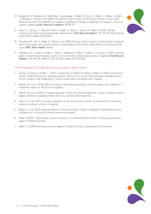14. Kyegombe, N., Namakula, S., Mulindwa, J., Lwanyaaga, J., Naker, D., Namy, S., Nakuti, J., Parkes, J., Knight, L., Walakira, E., Devries, K.M. (2016). How did the Good School Toolkit reduce the risk of past week physical violence from teachers to students? Qualitative findings on pathways of change in schools in Luwero, Uganda. Social Sciences & Medicine, 180:10-19

![](_page_45_Picture_1.jpeg)

- 15. Namy, S., Carlson, C., Pala, A.N., Faris, D., Knight, K., Allen, E., Devries, K., Naker, D. (2017). Gender, violence and resilience among Ugandan adolescents. Child Abuse & Neglect, 70, 303-314. http://dx.doi. org/10.1016/j.chiabu.2017.06.015
- 16. Thumann, B.F., Nur, U., Naker, D., Devries, K.M. (2016). Primary school students' mental health in Uganda and its association with school violence, connectedness, and school characteristics: a cross-sectional study. BMC Public Health, 16:662
- 17. Wandera, S.O., Clarke, K., Knight, L., Allen, E., Walakira, E., Namy, S., Naker, D., Devries, K. (2017). Violence against children perpetrated by peers: A cross-sectional school-based survey in Uganda. Child Abuse & Neglect, 2017 Apr 14, 68:65-73. doi: 10.1016/j.chiabu.2017.04.006.

#### The following GSS publications are currently under review:

- 1. Devries, K., Kuper, H., Knight, L., Allen, E., Kyegombe, N., Banks, M., Kelly, S., Naker, D. (2017). Is the Good School Toolkit effective for reducing physical violence from school staff and peers towards primary school students with disabilities? A cluster-randomised controlled trial in Uganda.
- 2. Merrill, K.G. et al. (2017a). Why do school staff perpetrate physical violence against their students? A multilevel analysis of risk factors in Uganda.
- 3. Merrill, K.G. et al. (2017b). Changing attitudes, norms, and school operational culture to reduce violence against children in Ugandan primary schools: a cluster-randomized trial.
- 4. Greco, G. et al. (2017). Economic evaluation of the Good School Toolkit: an intervention for reducing violence in primary schools in Uganda.
- 5. Knight, L. et al. (2017). Implementation of the Good School Toolkit in Uganda: A quantitative process evaluation of a successful violence prevention program.
- 6. Naker, D (2017). Operational Culture at Schools: An Overarching Entry Point for Preventing Violence against Children at School.
- 7. Naker, D. (2017b) Preventing Violence against Children at School: Approaches and Directions.

![](_page_45_Picture_13.jpeg)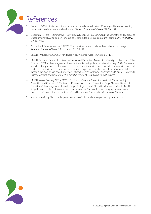![](_page_46_Picture_0.jpeg)

- Cohen, J. (2006). Social, emotional, ethical, and academic education: Creating a climate for learning, participation in democracy, and well-being. Harvard Educational Review, 76, 201-237.
- 2. Goodman, R., Ford, T., Simmons, H., Gatward, R., Meltzer, H. (2000). Using the Strengths and Difficulties Questionnaire (SDQ) to screen for child psychiatric disorders in a community sample. Br J Psychiatry, 177: 534—39.
- 3. Prochaska, J. O., & Velicer, W. F. (1997). The transtheoretical model of health behavior change. American Journal of Health Promotion, 12(1), 38—48.
- 4. UNICEF, Pinheiro, P.S. (2006). World Report on Violence Against Children. UNICEF.
- 5. UNICEF Tanzania, Centers for Disease Control and Prevention, Muhimbili University of Health and Allied Sciences (2011). Violence against children in Tanzania: findings from a national survey, 2009. Summary report on the prevalence of sexual, physical and emotional violence, context of sexual violence, and health and behavioural consequences of violence experienced in childhood. Dar Es Salaam: UNICEF Tanzania, Division of Violence Prevention National Center for Injury Prevention and Control, Centers for Disease Control and Prevention, Muhimbili University of Health and Allied Sciences.
- 6. UNICEF Kenya Country Office (2012)., Division of Violence Prevention, National Center for Injury Prevention and Control, US Centers for Disease Control and Prevention, Kenya National Bureau of Statistics. Violence against children in Kenya: findings from a 2010 national survey. Nairobi: UNICEF Kenya Country Office, Division of Violence Prevention, National Center for Injury Prevention and Control, US Centers for Disease Control and Prevention, Kenya National Bureau of Statistics.
- 7. Washington Group Short set http://www.cdc.gov/nchs/washingtongroup/wg questions.htm

![](_page_46_Picture_9.jpeg)